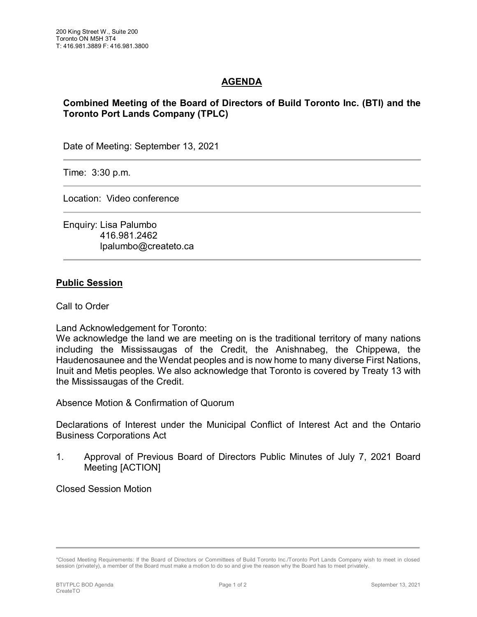## **AGENDA**

## **Combined Meeting of the Board of Directors of Build Toronto Inc. (BTI) and the Toronto Port Lands Company (TPLC)**

Date of Meeting: September 13, 2021

Time: 3:30 p.m.

Location: Video conference

Enquiry: Lisa Palumbo 416.981.2462 lpalumbo@createto.ca

## **Public Session**

Call to Order

Land Acknowledgement for Toronto:

We acknowledge the land we are meeting on is the traditional territory of many nations including the Mississaugas of the Credit, the Anishnabeg, the Chippewa, the Haudenosaunee and the Wendat peoples and is now home to many diverse First Nations, Inuit and Metis peoples. We also acknowledge that Toronto is covered by Treaty 13 with the Mississaugas of the Credit.

Absence Motion & Confirmation of Quorum

Declarations of Interest under the Municipal Conflict of Interest Act and the Ontario Business Corporations Act

1. Approval of Previous Board of Directors Public Minutes of July 7, 2021 Board Meeting [ACTION]

Closed Session Motion

<sup>\*</sup>Closed Meeting Requirements: If the Board of Directors or Committees of Build Toronto Inc./Toronto Port Lands Company wish to meet in closed session (privately), a member of the Board must make a motion to do so and give the reason why the Board has to meet privately.